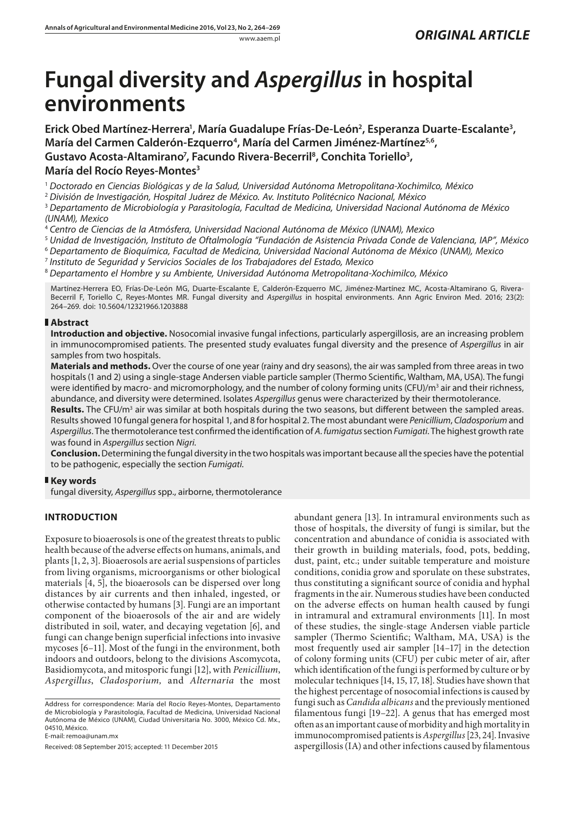# **Fungal diversity and** *Aspergillus* **in hospital environments**

Erick Obed Martínez-Herrera<sup>1</sup>, María Guadalupe Frías-De-León<sup>2</sup>, Esperanza Duarte-Escalante<sup>3</sup>, **María del Carmen Calderón-Ezquerro<sup>4</sup>, María del Carmen Jiménez-Martínez<sup>5,6</sup>, Gustavo Acosta-Altamirano7 , Facundo Rivera-Becerril8 , Conchita Toriello3 , María del Rocío Reyes-Montes3**

<sup>1</sup> *Doctorado en Ciencias Biológicas y de la Salud, Universidad Autónoma Metropolitana-Xochimilco, México*

<sup>2</sup> *División de Investigación, Hospital Juárez de México. Av. Instituto Politécnico Nacional, México*

<sup>3</sup> *Departamento de Microbiología y Parasitología, Facultad de Medicina, Universidad Nacional Autónoma de México (UNAM), Mexico*

<sup>4</sup> *Centro de Ciencias de la Atmósfera, Universidad Nacional Autónoma de México (UNAM), Mexico*

<sup>5</sup> *Unidad de Investigación, Instituto de Oftalmología "Fundación de Asistencia Privada Conde de Valenciana, IAP", México*

<sup>6</sup> *Departamento de Bioquímica, Facultad de Medicina, Universidad Nacional Autónoma de México (UNAM), Mexico*

<sup>7</sup> *Instituto de Seguridad y Servicios Sociales de los Trabajadores del Estado, Mexico*

<sup>8</sup> *Departamento el Hombre y su Ambiente, Universidad Autónoma Metropolitana-Xochimilco, México*

Martínez-Herrera EO, Frías-De-León MG, Duarte-Escalante E, Calderón-Ezquerro MC, Jiménez-Martínez MC, Acosta-Altamirano G, Rivera-Becerril F, Toriello C, Reyes-Montes MR. Fungal diversity and *Aspergillus* in hospital environments. Ann Agric Environ Med. 2016; 23(2): 264–269. doi: 10.5604/12321966.1203888

## **Abstract**

**Introduction and objective.** Nosocomial invasive fungal infections, particularly aspergillosis, are an increasing problem in immunocompromised patients. The presented study evaluates fungal diversity and the presence of *Aspergillus* in air samples from two hospitals.

**Materials and methods.** Over the course of one year (rainy and dry seasons), the air was sampled from three areas in two hospitals (1 and 2) using a single-stage Andersen viable particle sampler (Thermo Scientific, Waltham, MA, USA). The fungi were identified by macro- and micromorphology, and the number of colony forming units (CFU)/m<sup>3</sup> air and their richness, abundance, and diversity were determined. Isolates *Aspergillus* genus were characterized by their thermotolerance.

Results. The CFU/m<sup>3</sup> air was similar at both hospitals during the two seasons, but different between the sampled areas. Results showed 10 fungal genera for hospital 1, and 8 for hospital 2. The most abundant were *Penicillium*, *Cladosporium* and *Aspergillus*. The thermotolerance test confirmed the identification of *A. fumigatus* section *Fumigati*. The highest growth rate was found in *Aspergillus* section *Nigri*.

**Conclusion.** Determining the fungal diversity in the two hospitals was important because all the species have the potential to be pathogenic, especially the section *Fumigati*.

# **Key words**

fungal diversity, *Aspergillus* spp., airborne, thermotolerance

# **INTRODUCTION**

Exposure to bioaerosols is one of the greatest threats to public health because of the adverse effects on humans, animals, and plants [1, 2, 3]. Bioaerosols are aerial suspensions of particles from living organisms, microorganisms or other biological materials [4, 5], the bioaerosols can be dispersed over long distances by air currents and then inhaled, ingested, or otherwise contacted by humans [3]. Fungi are an important component of the bioaerosols of the air and are widely distributed in soil, water, and decaying vegetation [6], and fungi can change benign superficial infections into invasive mycoses [6–11]. Most of the fungi in the environment, both indoors and outdoors, belong to the divisions Ascomycota, Basidiomycota, and mitosporic fungi [12], with *Penicillium*, *Aspergillus*, *Cladosporium,* and *Alternaria* the most

Address for correspondence: María del Rocío Reyes-Montes, Departamento de Microbiología y Parasitología, Facultad de Medicina, Universidad Nacional Autónoma de México (UNAM), Ciudad Universitaria No. 3000, México Cd. Mx., 04510, México.

E-mail: [remoa@unam.mx](mailto:remoa@unam.mx)

Received: 08 September 2015; accepted: 11 December 2015

abundant genera [13]. In intramural environments such as those of hospitals, the diversity of fungi is similar, but the concentration and abundance of conidia is associated with their growth in building materials, food, pots, bedding, dust, paint, etc.; under suitable temperature and moisture conditions, conidia grow and sporulate on these substrates, thus constituting a significant source of conidia and hyphal fragments in the air. Numerous studies have been conducted on the adverse effects on human health caused by fungi in intramural and extramural environments [11]. In most of these studies, the single-stage Andersen viable particle sampler (Thermo Scientific; Waltham, MA, USA) is the most frequently used air sampler [14–17] in the detection of colony forming units (CFU) per cubic meter of air, after which identification of the fungi is performed by culture or by molecular techniques [14, 15, 17, 18]. Studies have shown that the highest percentage of nosocomial infections is caused by fungi such as *Candida albicans* and the previously mentioned filamentous fungi [19–22]. A genus that has emerged most often as an important cause of morbidity and high mortality in immunocompromised patients is *Aspergillus* [23, 24]. Invasive aspergillosis (IA) and other infections caused by filamentous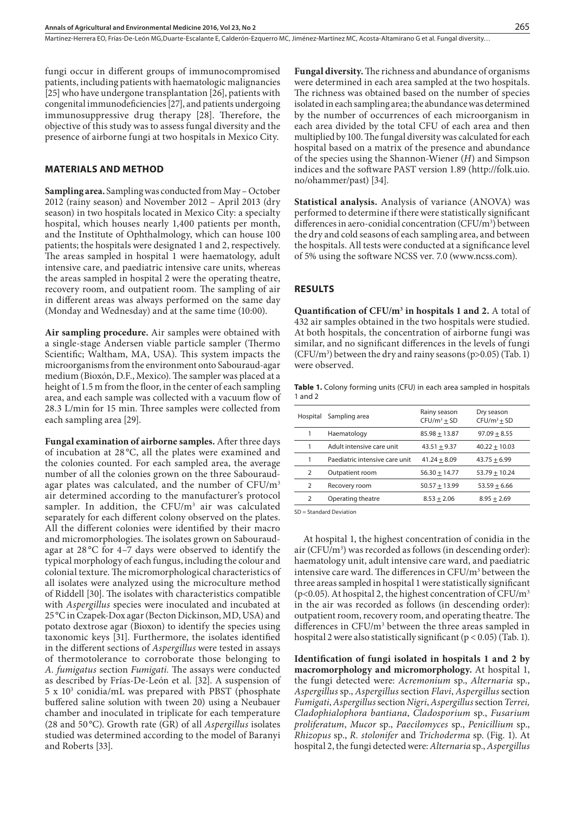Martínez-Herrera EO, Frías-De-León MG,Duarte-Escalante E, Calderón-Ezquerro MC, Jiménez-Martínez MC, Acosta-Altamirano G et al. Fungal diversity…

fungi occur in different groups of immunocompromised patients, including patients with haematologic malignancies [25] who have undergone transplantation [26], patients with congenital immunodeficiencies [27], and patients undergoing immunosuppressive drug therapy [28]. Therefore, the objective of this study was to assess fungal diversity and the presence of airborne fungi at two hospitals in Mexico City.

## **MATERIALS AND METHOD**

**Sampling area.** Sampling was conducted from May – October 2012 (rainy season) and November 2012 – April 2013 (dry season) in two hospitals located in Mexico City: a specialty hospital, which houses nearly 1,400 patients per month, and the Institute of Ophthalmology, which can house 100 patients; the hospitals were designated 1 and 2, respectively. The areas sampled in hospital 1 were haematology, adult intensive care, and paediatric intensive care units, whereas the areas sampled in hospital 2 were the operating theatre, recovery room, and outpatient room. The sampling of air in different areas was always performed on the same day (Monday and Wednesday) and at the same time (10:00).

**Air sampling procedure.** Air samples were obtained with a single-stage Andersen viable particle sampler (Thermo Scientific; Waltham, MA, USA). This system impacts the microorganisms from the environment onto Sabouraud-agar medium (Bioxón, D.F., Mexico). The sampler was placed at a height of 1.5 m from the floor, in the center of each sampling area, and each sample was collected with a vacuum flow of 28.3 L/min for 15 min. Three samples were collected from each sampling area [29].

**Fungal examination of airborne samples.** After three days of incubation at 28 °C, all the plates were examined and the colonies counted. For each sampled area, the average number of all the colonies grown on the three Sabouraudagar plates was calculated, and the number of  $CFU/m<sup>3</sup>$ air determined according to the manufacturer's protocol sampler. In addition, the CFU/m<sup>3</sup> air was calculated separately for each different colony observed on the plates. All the different colonies were identified by their macro and micromorphologies. The isolates grown on Sabouraudagar at 28 °C for 4–7 days were observed to identify the typical morphology of each fungus, including the colour and colonial texture. The micromorphological characteristics of all isolates were analyzed using the microculture method of Riddell [30]. The isolates with characteristics compatible with *Aspergillus* species were inoculated and incubated at 25°C in Czapek-Dox agar (Becton Dickinson, MD, USA) and potato dextrose agar (Bioxon) to identify the species using taxonomic keys [31]. Furthermore, the isolates identified in the different sections of *Aspergillus* were tested in assays of thermotolerance to corroborate those belonging to *A. fumigatus* section *Fumigati.* The assays were conducted as described by Frías-De-León et al. [32]. A suspension of 5 x 103 conidia/mL was prepared with PBST (phosphate buffered saline solution with tween 20) using a Neubauer chamber and inoculated in triplicate for each temperature (28 and 50 °C). Growth rate (GR) of all *Aspergillus* isolates studied was determined according to the model of Baranyi and Roberts [33].

**Fungal diversity.** The richness and abundance of organisms were determined in each area sampled at the two hospitals. The richness was obtained based on the number of species isolated in each sampling area; the abundance was determined by the number of occurrences of each microorganism in each area divided by the total CFU of each area and then multiplied by 100. The fungal diversity was calculated for each hospital based on a matrix of the presence and abundance of the species using the Shannon-Wiener (*H*) and Simpson indices and the software PAST version 1.89 ([http://folk.uio.](http://folk.uio.no/ohammer/past) [no/ohammer/past\)](http://folk.uio.no/ohammer/past) [34].

**Statistical analysis.** Analysis of variance (ANOVA) was performed to determine if there were statistically significant differences in aero-conidial concentration  $(CFU/m^3)$  between the dry and cold seasons of each sampling area, and between the hospitals. All tests were conducted at a significance level of 5% using the software NCSS ver. 7.0 [\(www.ncss.com\)](http://www.ncss.com).

#### **RESULTS**

**Quantification of CFU/m<sup>3</sup> in hospitals 1 and 2.** A total of 432 air samples obtained in the two hospitals were studied. At both hospitals, the concentration of airborne fungi was similar, and no significant differences in the levels of fungi  $(CFU/m<sup>3</sup>)$  between the dry and rainy seasons (p>0.05) (Tab. 1) were observed.

**Table 1.** Colony forming units (CFU) in each area sampled in hospitals 1 and 2

| Hospital       | Sampling area                  | Rainy season<br>$CFU/m^3 + SD$ | Dry season<br>$CFU/m^3 + SD$ |
|----------------|--------------------------------|--------------------------------|------------------------------|
| 1              | Haematology                    | $85.98 + 13.87$                | $97.09 + 8.55$               |
| 1              | Adult intensive care unit      | $43.51 + 9.37$                 | $40.22 + 10.03$              |
| 1              | Paediatric intensive care unit | $41.24 + 8.09$                 | $43.75 + 6.99$               |
| $\overline{2}$ | Outpatient room                | $56.30 + 14.77$                | $53.79 + 10.24$              |
| $\overline{2}$ | Recovery room                  | $50.57 + 13.99$                | $53.59 + 6.66$               |
| $\mathcal{P}$  | Operating theatre              | $8.53 + 2.06$                  | $8.95 + 2.69$                |

SD = Standard Deviation

At hospital 1, the highest concentration of conidia in the air (CFU/m<sup>3</sup>) was recorded as follows (in descending order): haematology unit, adult intensive care ward, and paediatric intensive care ward. The differences in CFU/m<sup>3</sup> between the three areas sampled in hospital 1 were statistically significant ( $p$ <0.05). At hospital 2, the highest concentration of CFU/ $m<sup>3</sup>$ in the air was recorded as follows (in descending order): outpatient room, recovery room, and operating theatre. The differences in  $CFU/m<sup>3</sup>$  between the three areas sampled in hospital 2 were also statistically significant ( $p < 0.05$ ) (Tab. 1).

**Identification of fungi isolated in hospitals 1 and 2 by macromorphology and micromorphology.** At hospital 1, the fungi detected were: *Acremonium* sp., *Alternaria* sp*.*, *Aspergillus* sp., *Aspergillus* section *Flavi*, *Aspergillus* section *Fumigati*, *Aspergillus* section *Nigri*, *Aspergillus* section *Terrei, Cladophialophora bantiana*, *Cladosporium* sp., *Fusarium proliferatum*, *Mucor* sp., *Paecilomyces* sp., *Penicillium* sp., *Rhizopus* sp., *R. stolonifer* and *Trichoderma* sp. (Fig. 1). At hospital 2, the fungi detected were: *Alternaria* sp., *Aspergillus*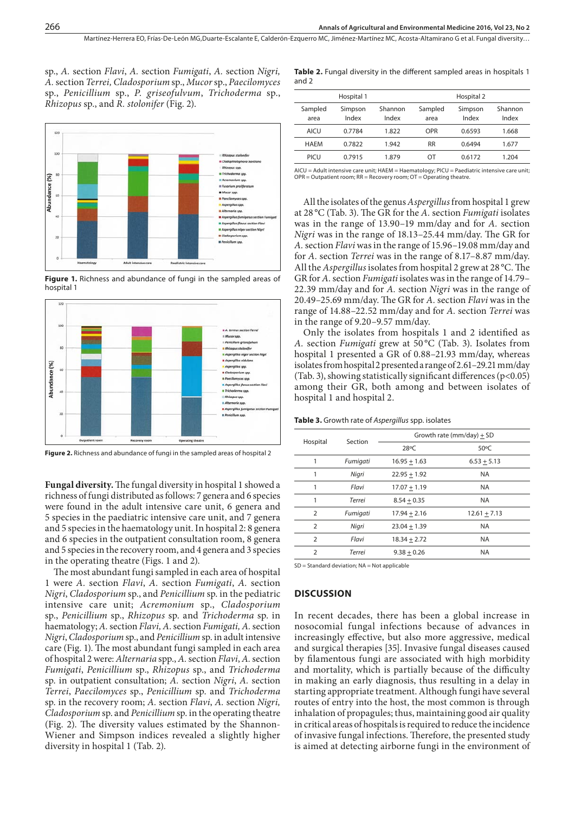sp., *A.* section *Flavi*, *A.* section *Fumigati*, *A.* section *Nigri, A.* section *Terrei, Cladosporium* sp., *Mucor* sp., *Paecilomyces* sp., *Penicillium* sp., *P. griseofulvum*, *Trichoderma* sp., *Rhizopus* sp., and *R. stolonifer* (Fig. 2).



**Figure 1.** Richness and abundance of fungi in the sampled areas of hospital 1



**Figure 2.** Richness and abundance of fungi in the sampled areas of hospital 2

**Fungal diversity.** The fungal diversity in hospital 1 showed a richness of fungi distributed as follows: 7 genera and 6 species were found in the adult intensive care unit, 6 genera and 5 species in the paediatric intensive care unit, and 7 genera and 5 species in the haematology unit. In hospital 2: 8 genera and 6 species in the outpatient consultation room, 8 genera and 5 species in the recovery room, and 4 genera and 3 species in the operating theatre (Figs. 1 and 2).

The most abundant fungi sampled in each area of hospital 1 were *A.* section *Flavi*, *A.* section *Fumigati*, *A.* section *Nigri*, *Cladosporium* sp., and *Penicillium* sp. in the pediatric intensive care unit; *Acremonium* sp., *Cladosporium* sp., *Penicillium* sp., *Rhizopus* sp. and *Trichoderma* sp. in haematology; *A.* section *Flavi, A.* section *Fumigati, A.* section *Nigri*, *Cladosporium* sp., and *Penicillium* sp. in adult intensive care (Fig. 1). The most abundant fungi sampled in each area of hospital 2 were: *Alternaria* spp., *A.* section *Flavi*, *A.* section *Fumigati*, *Penicillium* sp., *Rhizopus* sp., and *Trichoderma* sp. in outpatient consultation; *A.* section *Nigri*, *A.* section *Terrei*, *Paecilomyces* sp., *Penicillium* sp. and *Trichoderma* sp. in the recovery room; *A.* section *Flavi*, *A.* section *Nigri, Cladosporium* sp. and *Penicillium* sp. in the operating theatre (Fig. 2). The diversity values estimated by the Shannon-Wiener and Simpson indices revealed a slightly higher diversity in hospital 1 (Tab. 2).

|       | Table 2. Fungal diversity in the different sampled areas in hospitals 1 |  |  |  |
|-------|-------------------------------------------------------------------------|--|--|--|
| and 2 |                                                                         |  |  |  |

|                 | Hospital 1       |                  |                 | Hospital 2       |                  |
|-----------------|------------------|------------------|-----------------|------------------|------------------|
| Sampled<br>area | Simpson<br>Index | Shannon<br>Index | Sampled<br>area | Simpson<br>Index | Shannon<br>Index |
| AICU            | 0.7784           | 1.822            | <b>OPR</b>      | 0.6593           | 1.668            |
| <b>HAFM</b>     | 0.7822           | 1.942            | <b>RR</b>       | 0.6494           | 1.677            |
| PICU            | 0.7915           | 1.879            | ΩT              | 0.6172           | 1.204            |
|                 |                  |                  |                 |                  |                  |

AICU = Adult intensive care unit; HAEM = Haematology; PICU = Paediatric intensive care unit;  $OPR =$  Outpatient room;  $RR =$  Recovery room;  $OT =$  Operating theatre.

All the isolates of the genus *Aspergillus* from hospital 1 grew at 28 °C (Tab. 3). The GR for the *A.* section *Fumigati* isolates was in the range of 13.90–19 mm/day and for *A.* section *Nigri* was in the range of 18.13–25.44 mm/day. The GR for *A.* section *Flavi* was in the range of 15.96–19.08 mm/day and for *A.* section *Terrei* was in the range of 8.17–8.87 mm/day. All the *Aspergillus* isolates from hospital 2 grew at 28 °C. The GR for *A.* section *Fumigati* isolates was in the range of 14.79– 22.39 mm/day and for *A.* section *Nigri* was in the range of 20.49–25.69 mm/day. The GR for *A.* section *Flavi* was in the range of 14.88–22.52 mm/day and for *A.* section *Terrei* was in the range of 9.20–9.57 mm/day.

Only the isolates from hospitals 1 and 2 identified as *A.* section *Fumigati* grew at 50 °C (Tab. 3). Isolates from hospital 1 presented a GR of 0.88–21.93 mm/day, whereas isolates from hospital 2 presented a range of 2.61–29.21 mm/day (Tab. 3), showing statistically significant differences  $(p<0.05)$ among their GR, both among and between isolates of hospital 1 and hospital 2.

**Table 3.** Growth rate of *Aspergillus* spp. isolates

| Hospital       | Section  | Growth rate (mm/day) $\pm$ SD |                |  |
|----------------|----------|-------------------------------|----------------|--|
|                |          | 28°C                          | $50^{\circ}$ C |  |
|                | Fumigati | $16.95 + 1.63$                | $6.53 + 5.13$  |  |
| 1              | Nigri    | $22.95 + 1.92$                | <b>NA</b>      |  |
| 1              | Flavi    | $17.07 + 1.19$                | <b>NA</b>      |  |
|                | Terrei   | $8.54 + 0.35$                 | <b>NA</b>      |  |
| 2              | Fumigati | $17.94 + 2.16$                | $12.61 + 7.13$ |  |
| 2              | Nigri    | $23.04 + 1.39$                | <b>NA</b>      |  |
| $\overline{2}$ | Flavi    | $18.34 + 2.72$                | <b>NA</b>      |  |
| $\overline{2}$ | Terrei   | $9.38 + 0.26$                 | <b>NA</b>      |  |
|                |          |                               |                |  |

SD = Standard deviation; NA = Not applicable

#### **DISCUSSION**

In recent decades, there has been a global increase in nosocomial fungal infections because of advances in increasingly effective, but also more aggressive, medical and surgical therapies [35]. Invasive fungal diseases caused by filamentous fungi are associated with high morbidity and mortality, which is partially because of the difficulty in making an early diagnosis, thus resulting in a delay in starting appropriate treatment. Although fungi have several routes of entry into the host, the most common is through inhalation of propagules; thus, maintaining good air quality in critical areas of hospitals is required to reduce the incidence of invasive fungal infections. Therefore, the presented study is aimed at detecting airborne fungi in the environment of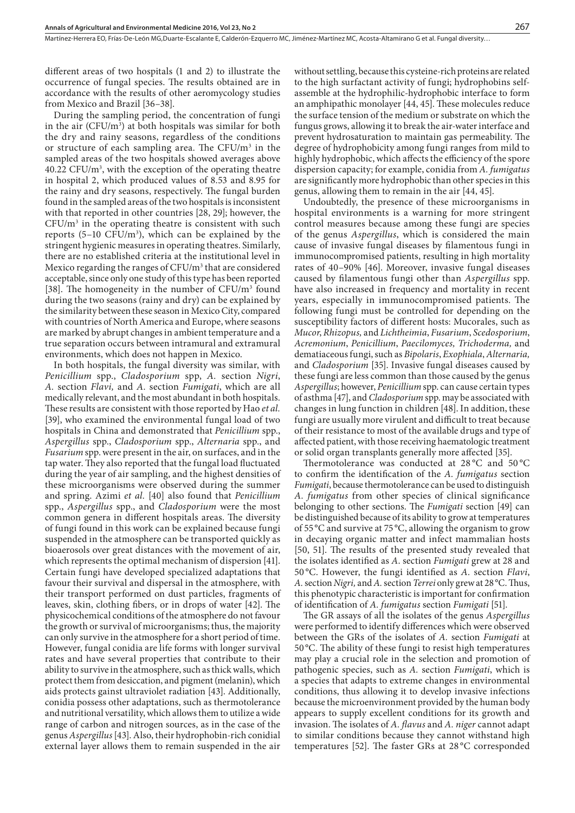different areas of two hospitals (1 and 2) to illustrate the occurrence of fungal species. The results obtained are in accordance with the results of other aeromycology studies from Mexico and Brazil [36–38].

During the sampling period, the concentration of fungi in the air ( $CFU/m^3$ ) at both hospitals was similar for both the dry and rainy seasons, regardless of the conditions or structure of each sampling area. The CFU/m<sup>3</sup> in the sampled areas of the two hospitals showed averages above 40.22 CFU/m3 , with the exception of the operating theatre in hospital 2, which produced values of 8.53 and 8.95 for the rainy and dry seasons, respectively. The fungal burden found in the sampled areas of the two hospitals is inconsistent with that reported in other countries [28, 29]; however, the CFU/m3 in the operating theatre is consistent with such reports  $(5-10 \text{ CFU/m}^3)$ , which can be explained by the stringent hygienic measures in operating theatres. Similarly, there are no established criteria at the institutional level in Mexico regarding the ranges of  $\mathrm{CFU}/\mathrm{m}^3$  that are considered acceptable, since only one study of this type has been reported [38]. The homogeneity in the number of  $CFU/m<sup>3</sup>$  found during the two seasons (rainy and dry) can be explained by the similarity between these season in Mexico City, compared with countries of North America and Europe, where seasons are marked by abrupt changes in ambient temperature and a true separation occurs between intramural and extramural environments, which does not happen in Mexico.

In both hospitals, the fungal diversity was similar, with *Penicillium* spp., *Cladosporium* spp, *A.*  section *Nigri*, *A.* section *Flavi,* and *A.* section *Fumigati*, which are all medically relevant, and the most abundant in both hospitals. These results are consistent with those reported by Hao *et al.* [39], who examined the environmental fungal load of two hospitals in China and demonstrated that *Penicillium* spp., *Aspergillus* spp., *Cladosporium* spp., *Alternaria* spp., and *Fusarium* spp. were present in the air, on surfaces, and in the tap water. They also reported that the fungal load fluctuated during the year of air sampling, and the highest densities of these microorganisms were observed during the summer and spring. Azimi *et al.* [40] also found that *Penicillium* spp., *Aspergillus* spp., and *Cladosporium* were the most common genera in different hospitals areas. The diversity of fungi found in this work can be explained because fungi suspended in the atmosphere can be transported quickly as bioaerosols over great distances with the movement of air, which represents the optimal mechanism of dispersion [41]. Certain fungi have developed specialized adaptations that favour their survival and dispersal in the atmosphere, with their transport performed on dust particles, fragments of leaves, skin, clothing fibers, or in drops of water [42]. The physicochemical conditions of the atmosphere do not favour the growth or survival of microorganisms; thus, the majority can only survive in the atmosphere for a short period of time. However, fungal conidia are life forms with longer survival rates and have several properties that contribute to their ability to survive in the atmosphere, such as thick walls, which protect them from desiccation, and pigment (melanin), which aids protects gainst ultraviolet radiation [43]. Additionally, conidia possess other adaptations, such as thermotolerance and nutritional versatility, which allows them to utilize a wide range of carbon and nitrogen sources, as in the case of the genus *Aspergillus* [43]. Also, their hydrophobin-rich conidial external layer allows them to remain suspended in the air

without settling, because this cysteine-rich proteins are related to the high surfactant activity of fungi; hydrophobins selfassemble at the hydrophilic-hydrophobic interface to form an amphipathic monolayer [44, 45]. These molecules reduce the surface tension of the medium or substrate on which the fungus grows, allowing it to break the air-water interface and prevent hydrosaturation to maintain gas permeability. The degree of hydrophobicity among fungi ranges from mild to highly hydrophobic, which affects the efficiency of the spore dispersion capacity; for example, conidia from *A. fumigatus* are significantly more hydrophobic than other species in this genus, allowing them to remain in the air [44, 45].

Undoubtedly, the presence of these microorganisms in hospital environments is a warning for more stringent control measures because among these fungi are species of the genus *Aspergillus*, which is considered the main cause of invasive fungal diseases by filamentous fungi in immunocompromised patients, resulting in high mortality rates of 40–90% [46]. Moreover, invasive fungal diseases caused by filamentous fungi other than *Aspergillus* spp. have also increased in frequency and mortality in recent years, especially in immunocompromised patients. The following fungi must be controlled for depending on the susceptibility factors of different hosts: Mucorales, such as *Mucor*, *Rhizopus,* and *Lichtheimia*, *Fusarium*, *Scedosporium*, *Acremonium*, *Penicillium*, *Paecilomyces, Trichoderma,* and dematiaceous fungi, such as *Bipolaris*, *Exophiala*, *Alternaria,* and *Cladosporium* [35]. Invasive fungal diseases caused by these fungi are less common than those caused by the genus *Aspergillus*; however, *Penicillium* spp. can cause certain types of asthma [47], and *Cladosporium* spp. may be associated with changes in lung function in children [48]. In addition, these fungi are usually more virulent and difficult to treat because of their resistance to most of the available drugs and type of affected patient, with those receiving haematologic treatment or solid organ transplants generally more affected [35].

Thermotolerance was conducted at 28 °C and 50 °C to confirm the identification of the *A. fumigatus* section *Fumigati*, because thermotolerance can be used to distinguish *A. fumigatus* from other species of clinical significance belonging to other sections. The *Fumigati* section [49] can be distinguished because of its ability to grow at temperatures of 55°C and survive at 75 °C, allowing the organism to grow in decaying organic matter and infect mammalian hosts [50, 51]. The results of the presented study revealed that the isolates identified as *A*. section *Fumigati* grew at 28 and 50 °C. However, the fungi identified as *A.* section *Flavi*, *A.* section *Nigri,* and *A.* section *Terrei* only grew at 28°C. Thus, this phenotypic characteristic is important for confirmation of identification of *A. fumigatus* section *Fumigati* [51].

The GR assays of all the isolates of the genus *Aspergillus* were performed to identify differences which were observed between the GRs of the isolates of *A.* section *Fumigati* at 50 °C. The ability of these fungi to resist high temperatures may play a crucial role in the selection and promotion of pathogenic species, such as *A.* section *Fumigati*, which is a species that adapts to extreme changes in environmental conditions, thus allowing it to develop invasive infections because the microenvironment provided by the human body appears to supply excellent conditions for its growth and invasion. The isolates of *A. flavus* and *A. niger* cannot adapt to similar conditions because they cannot withstand high temperatures [52]. The faster GRs at 28 °C corresponded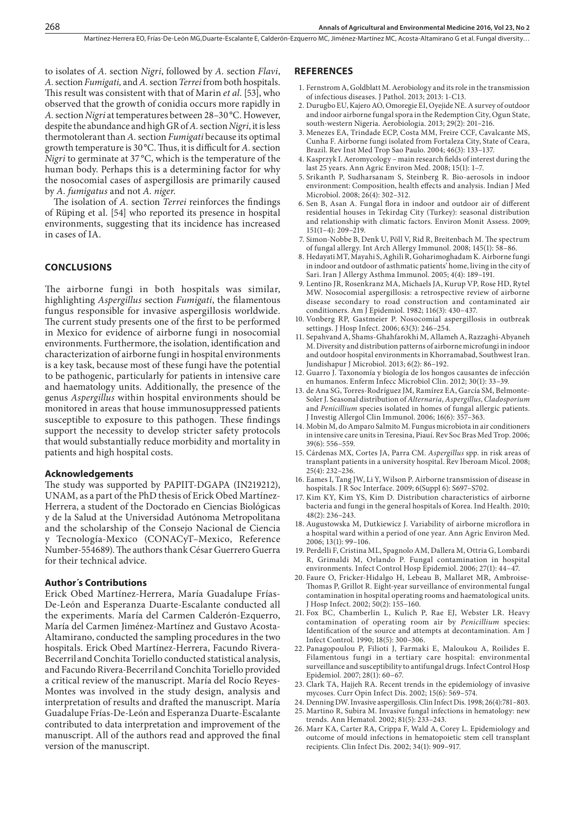to isolates of *A.* section *Nigri*, followed by *A.* section *Flavi*, *A.* section *Fumigati,* and *A.* section *Terrei* from both hospitals. This result was consistent with that of Marin *et al.* [53], who observed that the growth of conidia occurs more rapidly in *A.* section *Nigri* at temperatures between 28–30°C. However, despite the abundance and high GR of *A.* section *Nigri*, it is less thermotolerant than *A.* section *Fumigati* because its optimal growth temperature is 30°C. Thus, it is difficult for *A.* section *Nigri* to germinate at 37 °C, which is the temperature of the human body. Perhaps this is a determining factor for why the nosocomial cases of aspergillosis are primarily caused by *A. fumigatus* and not *A. niger*.

The isolation of *A.* section *Terrei* reinforces the findings of Rüping et al. [54] who reported its presence in hospital environments, suggesting that its incidence has increased in cases of IA.

### **CONCLUSIONS**

The airborne fungi in both hospitals was similar, highlighting *Aspergillus* section *Fumigati*, the filamentous fungus responsible for invasive aspergillosis worldwide. The current study presents one of the first to be performed in Mexico for evidence of airborne fungi in nosocomial environments. Furthermore, the isolation, identification and characterization of airborne fungi in hospital environments is a key task, because most of these fungi have the potential to be pathogenic, particularly for patients in intensive care and haematology units. Additionally, the presence of the genus *Aspergillus* within hospital environments should be monitored in areas that house immunosuppressed patients susceptible to exposure to this pathogen. These findings support the necessity to develop stricter safety protocols that would substantially reduce morbidity and mortality in patients and high hospital costs.

#### **Acknowledgements**

The study was supported by PAPIIT-DGAPA (IN219212), UNAM, as a part of the PhD thesis of Erick Obed Martínez-Herrera, a student of the Doctorado en Ciencias Biológicas y de la Salud at the Universidad Autónoma Metropolitana and the scholarship of the Consejo Nacional de Ciencia y Tecnología-Mexico (CONACyT–Mexico, Reference Number-554689). The authors thank César Guerrero Guerra for their technical advice.

#### **Author´s Contributions**

Erick Obed Martínez-Herrera, María Guadalupe Frías-De-León and Esperanza Duarte-Escalante conducted all the experiments. María del Carmen Calderón-Ezquerro, María del Carmen Jiménez-Martínez and Gustavo Acosta-Altamirano, conducted the sampling procedures in the two hospitals. Erick Obed Martínez-Herrera, Facundo Rivera-Becerriland Conchita Toriello conducted statistical analysis, and Facundo Rivera-Becerriland Conchita Toriello provided a critical review of the manuscript. María del Rocío Reyes-Montes was involved in the study design, analysis and interpretation of results and drafted the manuscript. María Guadalupe Frías-De-León and Esperanza Duarte-Escalante contributed to data interpretation and improvement of the manuscript. All of the authors read and approved the final version of the manuscript.

#### **REFERENCES**

- 1. Fernstrom A, Goldblatt M. Aerobiology and its role in the transmission of infectious diseases. J Pathol. 2013; 2013: 1-C13.
- 2. Durugbo EU, Kajero AO, Omoregie EI, Oyejide NE. A survey of outdoor and indoor airborne fungal spora in the Redemption City, Ogun State, south-western Nigeria. Aerobiologia. 2013; 29(2): 201–216.
- 3. Menezes EA, Trindade ECP, Costa MM, Freire CCF, Cavalcante MS, Cunha F. Airborne fungi isolated from Fortaleza City, State of Ceara, Brazil. Rev Inst Med Trop Sao Paulo. 2004; 46(3): 133–137.
- 4. Kasprzyk I. Aeromycology main research fields of interest during the last 25 years. Ann Agric Environ Med. 2008; 15(1): 1–7.
- 5. Srikanth P, Sudharsanam S, Steinberg R. Bio-aerosols in indoor environment: Composition, health effects and analysis. Indian J Med Microbiol. 2008; 26(4): 302–312.
- 6. Sen B, Asan A. Fungal flora in indoor and outdoor air of different residential houses in Tekirdag City (Turkey): seasonal distribution and relationship with climatic factors. Environ Monit Assess. 2009; 151(1–4): 209–219.
- 7. Simon-Nobbe B, Denk U, Pöll V, Rid R, Breitenbach M. The spectrum of fungal allergy. Int Arch Allergy Immunol. 2008; 145(1): 58–86.
- 8. Hedayati MT, Mayahi S, Aghili R, Goharimoghadam K. Airborne fungi in indoor and outdoor of asthmatic patients' home, living in the city of Sari. Iran J Allergy Asthma Immunol. 2005; 4(4): 189–191.
- 9. Lentino JR, Rosenkranz MA, Michaels JA, Kurup VP, Rose HD, Rytel MW. Nosocomial aspergillosis: a retrospective review of airborne disease secondary to road construction and contaminated air conditioners. Am J Epidemiol. 1982; 116(3): 430–437.
- 10. [Vonberg](http://www.ncbi.nlm.nih.gov/pubmed?term=Vonberg RP%5BAuthor%5D&cauthor=true&cauthor_uid=16713019) RP, [Gastmeier P. N](http://www.ncbi.nlm.nih.gov/pubmed?term=Gastmeier P%5BAuthor%5D&cauthor=true&cauthor_uid=16713019)osocomial aspergillosis in outbreak settings. J Hosp Infect. 2006; 63(3): 246–254.
- 11. Sepahvand A, Shams-Ghahfarokhi M, Allameh A, Razzaghi-Abyaneh M. Diversity and distribution patterns of airborne microfungi in indoor and outdoor hospital environments in Khorramabad, Southwest Iran. Jundishapur J Microbiol. 2013; 6(2): 86–192.
- 12. Guarro J. Taxonomía y biología de los hongos causantes de infección en humanos. Enferm Infecc Microbiol Clin. 2012; 30(1): 33–39.
- 13. de Ana SG, Torres-Rodríguez JM, Ramírez EA, García SM, Belmonte-Soler J. Seasonal distribution of *Alternaria*, *Aspergillus*, *Cladosporium* and *Penicillium* species isolated in homes of fungal allergic patients. J Investig Allergol Clin Immunol. 2006; 16(6): 357–363.
- 14. Mobin M, do Amparo Salmito M. Fungus microbiota in air conditioners in intensive care units in Teresina, Piauí. Rev Soc Bras Med Trop. 2006; 39(6): 556–559.
- 15. Cárdenas MX, Cortes JA, Parra CM. *Aspergillus* spp. in risk areas of transplant patients in a university hospital. Rev Iberoam Micol. 2008; 25(4): 232–236.
- 16. Eames I, Tang JW, Li Y, Wilson P. Airborne transmission of disease in hospitals. J R Soc Interface. 2009; 6(Suppl 6): S697–S702.
- 17. Kim KY, Kim YS, Kim D. Distribution characteristics of airborne bacteria and fungi in the general hospitals of Korea. Ind Health. 2010; 48(2): 236–243.
- 18. Augustowska M, Dutkiewicz J. Variability of airborne microflora in a hospital ward within a period of one year. Ann Agric Environ Med. 2006; 13(1): 99–106.
- 19. Perdelli F, Cristina ML, Spagnolo AM, Dallera M, Ottria G, Lombardi R, Grimaldi M, Orlando P. Fungal contamination in hospital environments. Infect Control Hosp Epidemiol. 2006; 27(1): 44–47.
- 20. Faure O, Fricker-Hidalgo H, Lebeau B, Mallaret MR, Ambroise-Thomas P, Grillot R. Eight-year surveillance of environmental fungal contamination in hospital operating rooms and haematological units. J Hosp Infect. 2002; 50(2): 155–160.
- 21. Fox BC, Chamberlin L, Kulich P, Rae EJ, Webster LR. Heavy contamination of operating room air by *Penicillium* species: Identification of the source and attempts at decontamination. Am J Infect Control. 1990; 18(5): 300–306.
- 22. Panagopoulou P, Filioti J, Farmaki E, Maloukou A, Roilides E. Filamentous fungi in a tertiary care hospital: environmental surveillance and susceptibility to antifungal drugs. Infect Control Hosp Epidemiol. 2007; 28(1): 60–67.
- 23. Clark TA, Hajjeh RA. Recent trends in the epidemiology of invasive mycoses*.* Curr Opin Infect Dis. 2002; 15(6): 569–574.
- 24. Denning DW. Invasive aspergillosis. Clin Infect Dis. 1998; 26(4):781–803.
- 25. Martino R, Subira M. Invasive fungal infections in hematology: new trends. Ann Hematol. 2002; 81(5): 233–243.
- 26. Marr KA, Carter RA, Crippa F, Wald A, Corey L. Epidemiology and outcome of mould infections in hematopoietic stem cell transplant recipients. Clin Infect Dis. 2002; 34(1): 909–917.